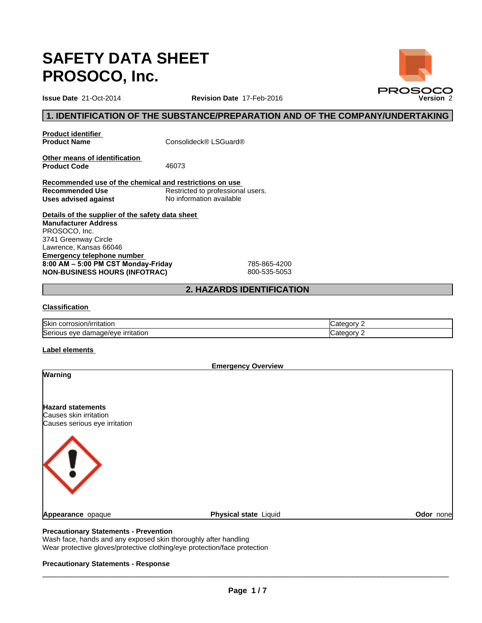# **SAFETY DATA SHEET PROSOCO, Inc.**

# **1. IDENTIFICATION OF THE SUBSTANCE/PREPARATION AND OF THE COMPANY/UNDERTAKING**

**Product identifier<br>Product Name** 

**Product Name** Consolideck® LSGuard®

**Other means of identification**  Product Code 46073

**Recommended use of the chemical and restrictions on use Recommended Use** Restricted to professional users.<br>
Uses advised against<br>
No information available **Uses advised against** 

**Details of the supplier of the safety data sheet Emergency telephone number**  8:00 AM - 5:00 PM CST Monday-Friday 785-865-4200 **NON-BUSINESS HOURS (INFOTRAC)** 800-535-5053 **Manufacturer Address** PROSOCO, Inc. 3741 Greenway Circle Lawrence, Kansas 66046

# **2. HAZARDS IDENTIFICATION**

## **Classification**

| <b>Skin</b><br>√irritation<br>ה corrosion       | onory?<br>.ate |
|-------------------------------------------------|----------------|
| Serious<br>mage/eve<br>irritation<br>eve<br>dar | onry?<br>:ate  |

## **Label elements**

| <b>Emergency Overview</b>     |                       |           |
|-------------------------------|-----------------------|-----------|
| Warning                       |                       |           |
|                               |                       |           |
| <b>Hazard statements</b>      |                       |           |
| Causes skin irritation        |                       |           |
| Causes serious eye irritation |                       |           |
|                               |                       |           |
| Appearance opaque             | Physical state Liquid | Odor none |
|                               |                       |           |

### **Precautionary Statements - Prevention**

Wash face, hands and any exposed skin thoroughly after handling Wear protective gloves/protective clothing/eye protection/face protection

#### **Precautionary Statements - Response**

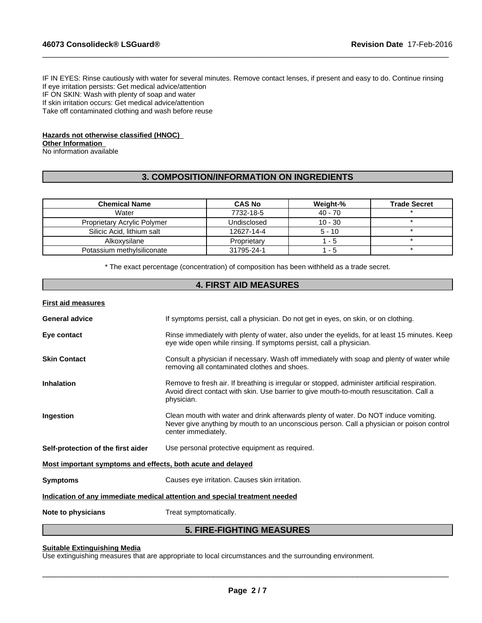IF IN EYES: Rinse cautiously with water for several minutes. Remove contact lenses, if present and easy to do. Continue rinsing If eye irritation persists: Get medical advice/attention IF ON SKIN: Wash with plenty of soap and water If skin irritation occurs: Get medical advice/attention Take off contaminated clothing and wash before reuse

 $\_$  ,  $\_$  ,  $\_$  ,  $\_$  ,  $\_$  ,  $\_$  ,  $\_$  ,  $\_$  ,  $\_$  ,  $\_$  ,  $\_$  ,  $\_$  ,  $\_$  ,  $\_$  ,  $\_$  ,  $\_$  ,  $\_$  ,  $\_$  ,  $\_$  ,  $\_$  ,  $\_$  ,  $\_$  ,  $\_$  ,  $\_$  ,  $\_$  ,  $\_$  ,  $\_$  ,  $\_$  ,  $\_$  ,  $\_$  ,  $\_$  ,  $\_$  ,  $\_$  ,  $\_$  ,  $\_$  ,  $\_$  ,  $\_$  ,

# **Hazards not otherwise classified (HNOC)**

## **Other Information**

No information available

# **3. COMPOSITION/INFORMATION ON INGREDIENTS**

| <b>Chemical Name</b>               | <b>CAS No</b> | Weight-%  | <b>Trade Secret</b> |
|------------------------------------|---------------|-----------|---------------------|
| Water                              | 7732-18-5     | 40 - 70   |                     |
| <b>Proprietary Acrylic Polymer</b> | Undisclosed   | $10 - 30$ |                     |
| Silicic Acid, lithium salt         | 12627-14-4    | $5 - 10$  |                     |
| Alkoxysilane                       | Proprietary   | - 5       |                     |
| Potassium methylsiliconate         | 31795-24-1    | - 5       |                     |

\* The exact percentage (concentration) of composition has been withheld as a trade secret.

# **4. FIRST AID MEASURES**

**First aid measures**

|                                                                            | <b>5. FIRE-FIGHTING MEASURES</b>                                                                                                                                                                         |  |
|----------------------------------------------------------------------------|----------------------------------------------------------------------------------------------------------------------------------------------------------------------------------------------------------|--|
| Note to physicians                                                         | Treat symptomatically.                                                                                                                                                                                   |  |
| Indication of any immediate medical attention and special treatment needed |                                                                                                                                                                                                          |  |
| <b>Symptoms</b>                                                            | Causes eye irritation. Causes skin irritation.                                                                                                                                                           |  |
| Most important symptoms and effects, both acute and delayed                |                                                                                                                                                                                                          |  |
| Self-protection of the first aider                                         | Use personal protective equipment as required.                                                                                                                                                           |  |
| Ingestion                                                                  | Clean mouth with water and drink afterwards plenty of water. Do NOT induce vomiting.<br>Never give anything by mouth to an unconscious person. Call a physician or poison control<br>center immediately. |  |
| <b>Inhalation</b>                                                          | Remove to fresh air. If breathing is irregular or stopped, administer artificial respiration.<br>Avoid direct contact with skin. Use barrier to give mouth-to-mouth resuscitation. Call a<br>physician.  |  |
| <b>Skin Contact</b>                                                        | Consult a physician if necessary. Wash off immediately with soap and plenty of water while<br>removing all contaminated clothes and shoes.                                                               |  |
| Eye contact                                                                | Rinse immediately with plenty of water, also under the eyelids, for at least 15 minutes. Keep<br>eye wide open while rinsing. If symptoms persist, call a physician.                                     |  |
| <b>General advice</b>                                                      | If symptoms persist, call a physician. Do not get in eyes, on skin, or on clothing.                                                                                                                      |  |
|                                                                            |                                                                                                                                                                                                          |  |

# **Suitable Extinguishing Media**

Use extinguishing measures that are appropriate to local circumstances and the surrounding environment.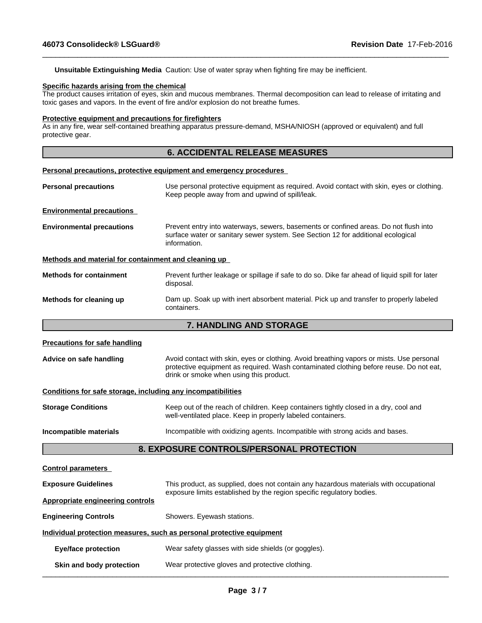**Unsuitable Extinguishing Media** Caution: Use of water spray when fighting fire may be inefficient.

#### **Specific hazards arising from the chemical**

The product causes irritation of eyes, skin and mucous membranes. Thermal decomposition can lead to release of irritating and toxic gases and vapors. In the event of fire and/or explosion do not breathe fumes.

 $\_$  ,  $\_$  ,  $\_$  ,  $\_$  ,  $\_$  ,  $\_$  ,  $\_$  ,  $\_$  ,  $\_$  ,  $\_$  ,  $\_$  ,  $\_$  ,  $\_$  ,  $\_$  ,  $\_$  ,  $\_$  ,  $\_$  ,  $\_$  ,  $\_$  ,  $\_$  ,  $\_$  ,  $\_$  ,  $\_$  ,  $\_$  ,  $\_$  ,  $\_$  ,  $\_$  ,  $\_$  ,  $\_$  ,  $\_$  ,  $\_$  ,  $\_$  ,  $\_$  ,  $\_$  ,  $\_$  ,  $\_$  ,  $\_$  ,

#### **Protective equipment and precautions for firefighters**

As in any fire, wear self-contained breathing apparatus pressure-demand, MSHA/NIOSH (approved or equivalent) and full protective gear.

# **6. ACCIDENTAL RELEASE MEASURES**

#### **Personal precautions, protective equipment and emergency procedures**

- **Personal precautions** Use personal protective equipment as required. Avoid contact with skin, eyes or clothing. Keep people away from and upwind of spill/leak. **Environmental precautions Environmental precautions** Prevent entry into waterways, sewers, basements or confined areas. Do not flush into surface water or sanitary sewer system. See Section 12 for additional ecological information. **Methods and material for containment and cleaning up**
- **Methods for containment** Prevent further leakage or spillage if safe to do so. Dike far ahead of liquid spill for later disposal. **Methods for cleaning up** Dam up. Soak up with inert absorbent material. Pick up and transfer to properly labeled containers.

# **7. HANDLING AND STORAGE**

#### **Precautions for safe handling**

Advice on safe handling **Avoid contact with skin, eyes or clothing.** Avoid breathing vapors or mists. Use personal protective equipment as required. Wash contaminated clothing before reuse. Do not eat, drink or smoke when using this product.

#### **Conditions for safe storage, including any incompatibilities**

| <b>Storage Conditions</b> | Keep out of the reach of children. Keep containers tightly closed in a dry, cool and<br>well-ventilated place. Keep in properly labeled containers. |
|---------------------------|-----------------------------------------------------------------------------------------------------------------------------------------------------|
|                           |                                                                                                                                                     |

# **Incompatible materials Incompatible with oxidizing agents. Incompatible with strong acids and bases.**

# **8. EXPOSURE CONTROLS/PERSONAL PROTECTION**

| <b>Control parameters</b>                                                                                                                                                                    |  |  |
|----------------------------------------------------------------------------------------------------------------------------------------------------------------------------------------------|--|--|
| <b>Exposure Guidelines</b><br>This product, as supplied, does not contain any hazardous materials with occupational<br>exposure limits established by the region specific regulatory bodies. |  |  |
| Appropriate engineering controls                                                                                                                                                             |  |  |
| <b>Engineering Controls</b><br>Showers. Eyewash stations.                                                                                                                                    |  |  |
| Individual protection measures, such as personal protective equipment                                                                                                                        |  |  |
| Wear safety glasses with side shields (or goggles).<br><b>Eye/face protection</b>                                                                                                            |  |  |
| Wear protective gloves and protective clothing.<br>Skin and body protection                                                                                                                  |  |  |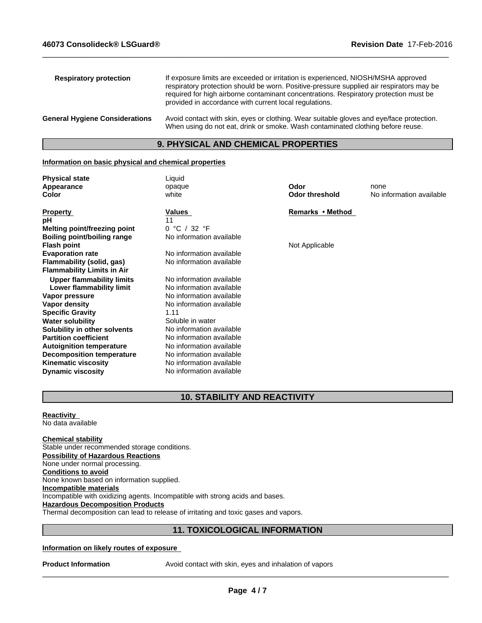| <b>Respiratory protection</b>         | If exposure limits are exceeded or irritation is experienced, NIOSH/MSHA approved<br>respiratory protection should be worn. Positive-pressure supplied air respirators may be<br>required for high airborne contaminant concentrations. Respiratory protection must be<br>provided in accordance with current local regulations. |
|---------------------------------------|----------------------------------------------------------------------------------------------------------------------------------------------------------------------------------------------------------------------------------------------------------------------------------------------------------------------------------|
| <b>General Hygiene Considerations</b> | Avoid contact with skin, eyes or clothing. Wear suitable gloves and eye/face protection.<br>When using do not eat, drink or smoke. Wash contaminated clothing before reuse.                                                                                                                                                      |

 $\_$  ,  $\_$  ,  $\_$  ,  $\_$  ,  $\_$  ,  $\_$  ,  $\_$  ,  $\_$  ,  $\_$  ,  $\_$  ,  $\_$  ,  $\_$  ,  $\_$  ,  $\_$  ,  $\_$  ,  $\_$  ,  $\_$  ,  $\_$  ,  $\_$  ,  $\_$  ,  $\_$  ,  $\_$  ,  $\_$  ,  $\_$  ,  $\_$  ,  $\_$  ,  $\_$  ,  $\_$  ,  $\_$  ,  $\_$  ,  $\_$  ,  $\_$  ,  $\_$  ,  $\_$  ,  $\_$  ,  $\_$  ,  $\_$  ,

# **9. PHYSICAL AND CHEMICAL PROPERTIES**

#### **Information on basic physical and chemical properties**

| <b>Physical state</b>             | Liquid                   |                       |                          |
|-----------------------------------|--------------------------|-----------------------|--------------------------|
| Appearance                        | opaque                   | Odor                  | none                     |
| Color                             | white                    | <b>Odor threshold</b> | No information available |
| <b>Property</b>                   | Values                   | Remarks • Method      |                          |
| рH                                |                          |                       |                          |
| Melting point/freezing point      | 0 °C / 32 °F             |                       |                          |
| Boiling point/boiling range       | No information available |                       |                          |
| <b>Flash point</b>                |                          | Not Applicable        |                          |
| <b>Evaporation rate</b>           | No information available |                       |                          |
| Flammability (solid, gas)         | No information available |                       |                          |
| <b>Flammability Limits in Air</b> |                          |                       |                          |
| <b>Upper flammability limits</b>  | No information available |                       |                          |
| Lower flammability limit          | No information available |                       |                          |
| Vapor pressure                    | No information available |                       |                          |
| Vapor density                     | No information available |                       |                          |
| <b>Specific Gravity</b>           | 1.11                     |                       |                          |
| <b>Water solubility</b>           | Soluble in water         |                       |                          |
| Solubility in other solvents      | No information available |                       |                          |
| <b>Partition coefficient</b>      | No information available |                       |                          |
| <b>Autoignition temperature</b>   | No information available |                       |                          |
| <b>Decomposition temperature</b>  | No information available |                       |                          |
| <b>Kinematic viscosity</b>        | No information available |                       |                          |
| <b>Dynamic viscosity</b>          | No information available |                       |                          |

# **10. STABILITY AND REACTIVITY**

**Reactivity**  No data available

**Chemical stability** Stable under recommended storage conditions. **Possibility of Hazardous Reactions** None under normal processing. **Conditions to avoid** None known based on information supplied. **Incompatible materials** Incompatible with oxidizing agents. Incompatible with strong acids and bases. **Hazardous Decomposition Products** Thermal decomposition can lead to release of irritating and toxic gases and vapors.

# **11. TOXICOLOGICAL INFORMATION**

## **Information on likely routes of exposure**

**Product Information** Avoid contact with skin, eyes and inhalation of vapors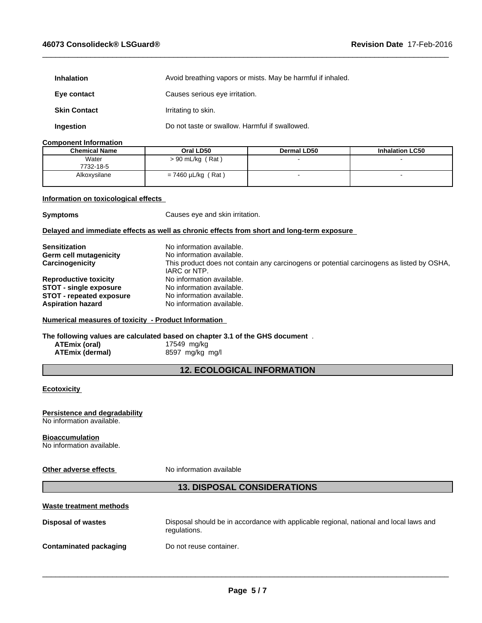| <b>Inhalation</b>   | Avoid breathing vapors or mists. May be harmful if inhaled. |  |
|---------------------|-------------------------------------------------------------|--|
| Eye contact         | Causes serious eye irritation.                              |  |
| <b>Skin Contact</b> | Irritating to skin.                                         |  |
| <b>Ingestion</b>    | Do not taste or swallow. Harmful if swallowed.              |  |

## **Component Information**

| <b>Chemical Name</b> | Oral LD50                  | <b>Dermal LD50</b> | <b>Inhalation LC50</b> |
|----------------------|----------------------------|--------------------|------------------------|
| Water<br>7732-18-5   | $> 90$ mL/kg (Rat)         |                    |                        |
| Alkoxysilane         | $'$ Rat)<br>= 7460 µL/kg ( |                    |                        |

 $\_$  ,  $\_$  ,  $\_$  ,  $\_$  ,  $\_$  ,  $\_$  ,  $\_$  ,  $\_$  ,  $\_$  ,  $\_$  ,  $\_$  ,  $\_$  ,  $\_$  ,  $\_$  ,  $\_$  ,  $\_$  ,  $\_$  ,  $\_$  ,  $\_$  ,  $\_$  ,  $\_$  ,  $\_$  ,  $\_$  ,  $\_$  ,  $\_$  ,  $\_$  ,  $\_$  ,  $\_$  ,  $\_$  ,  $\_$  ,  $\_$  ,  $\_$  ,  $\_$  ,  $\_$  ,  $\_$  ,  $\_$  ,  $\_$  ,

## **Information on toxicological effects**

**Symptoms** Causes eye and skin irritation.

## **Delayed and immediate effects as well as chronic effects from short and long-term exposure**

| <b>Sensitization</b>            | No information available.                                                                 |
|---------------------------------|-------------------------------------------------------------------------------------------|
| Germ cell mutagenicity          | No information available.                                                                 |
| Carcinogenicity                 | This product does not contain any carcinogens or potential carcinogens as listed by OSHA, |
|                                 | IARC or NTP.                                                                              |
| <b>Reproductive toxicity</b>    | No information available.                                                                 |
| <b>STOT - single exposure</b>   | No information available.                                                                 |
| <b>STOT - repeated exposure</b> | No information available.                                                                 |
| <b>Aspiration hazard</b>        | No information available.                                                                 |

## **Numerical measures of toxicity - Product Information**

**The following values are calculated based on chapter 3.1 of the GHS document** .

**ATEmix (oral)** 17549 mg/kg<br>**ATEmix (dermal)** 8597 mg/kg **ATEmix (dermal)** 8597 mg/kg mg/l

# **12. ECOLOGICAL INFORMATION**

## **Ecotoxicity**

# **Persistence and degradability**

No information available.

## **Bioaccumulation**

No information available.

#### **Other adverse effects** No information available

# **13. DISPOSAL CONSIDERATIONS**

| Waste treatment methods |                                                                                                        |
|-------------------------|--------------------------------------------------------------------------------------------------------|
| Disposal of wastes      | Disposal should be in accordance with applicable regional, national and local laws and<br>regulations. |
| Contaminated packaging  | Do not reuse container.                                                                                |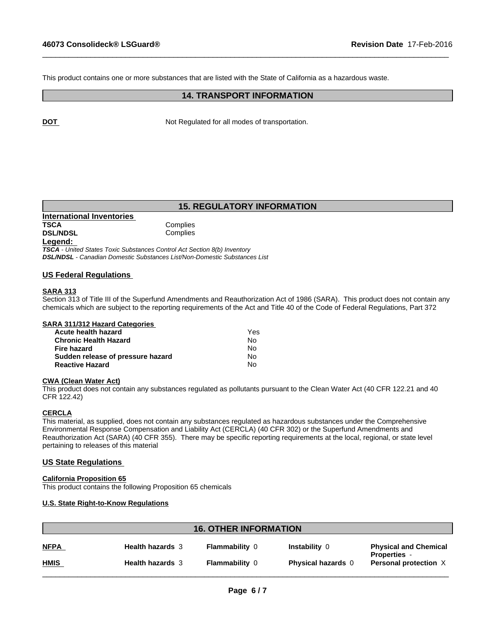This product contains one or more substances that are listed with the State of California as a hazardous waste.

# **14. TRANSPORT INFORMATION**

 $\_$  ,  $\_$  ,  $\_$  ,  $\_$  ,  $\_$  ,  $\_$  ,  $\_$  ,  $\_$  ,  $\_$  ,  $\_$  ,  $\_$  ,  $\_$  ,  $\_$  ,  $\_$  ,  $\_$  ,  $\_$  ,  $\_$  ,  $\_$  ,  $\_$  ,  $\_$  ,  $\_$  ,  $\_$  ,  $\_$  ,  $\_$  ,  $\_$  ,  $\_$  ,  $\_$  ,  $\_$  ,  $\_$  ,  $\_$  ,  $\_$  ,  $\_$  ,  $\_$  ,  $\_$  ,  $\_$  ,  $\_$  ,  $\_$  ,

**DOT** Not Regulated for all modes of transportation.

# **15. REGULATORY INFORMATION**

| International Inventories |     |
|---------------------------|-----|
| <b>TSCA</b>               | Cor |
| <b>DSL/NDSL</b>           | Cor |
| Legend:                   |     |

*TSCA - United States Toxic Substances Control Act Section 8(b) Inventory DSL/NDSL - Canadian Domestic Substances List/Non-Domestic Substances List*

**Complies Complies** 

## **US Federal Regulations**

## **SARA 313**

Section 313 of Title III of the Superfund Amendments and Reauthorization Act of 1986 (SARA). This product does not contain any chemicals which are subject to the reporting requirements of the Act and Title 40 of the Code of Federal Regulations, Part 372

|  |  |  | <b>SARA 311/312 Hazard Categories</b> |
|--|--|--|---------------------------------------|
|  |  |  |                                       |

| Acute health hazard               | Yes |
|-----------------------------------|-----|
| <b>Chronic Health Hazard</b>      | N٥  |
| Fire hazard                       | N٥  |
| Sudden release of pressure hazard | N٥  |
| <b>Reactive Hazard</b>            | N٥  |

#### **CWA (Clean Water Act)**

This product does not contain any substances regulated as pollutants pursuant to the Clean Water Act (40 CFR 122.21 and 40 CFR 122.42)

#### **CERCLA**

This material, as supplied, does not contain any substances regulated as hazardous substances under the Comprehensive Environmental Response Compensation and Liability Act (CERCLA) (40 CFR 302) or the Superfund Amendments and Reauthorization Act (SARA) (40 CFR 355). There may be specific reporting requirements at the local, regional, or state level pertaining to releases of this material

#### **US State Regulations**

#### **California Proposition 65**

This product contains the following Proposition 65 chemicals

#### **U.S. State Right-to-Know Regulations**

| <b>NFPA</b><br>Instability 0<br><b>Health hazards 3</b><br><b>Flammability 0</b><br><b>Physical and Chemical</b><br><b>Properties -</b> |
|-----------------------------------------------------------------------------------------------------------------------------------------|
| <b>HMIS</b><br><b>Health hazards 3</b><br><b>Flammability 0</b><br><b>Physical hazards</b> 0<br>Personal protection X                   |